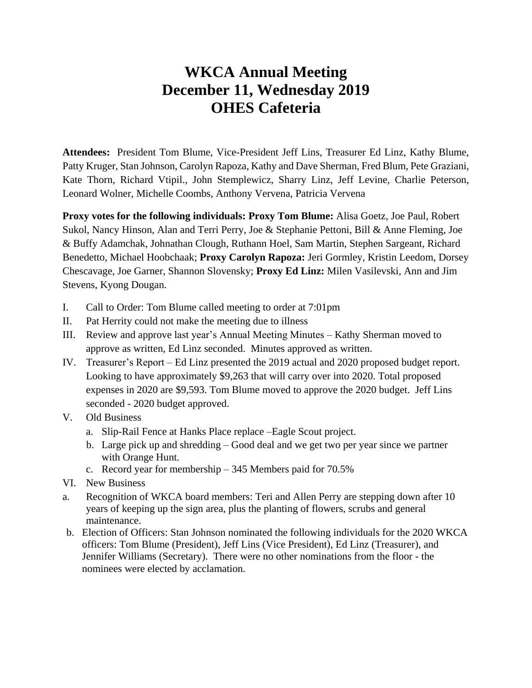## **WKCA Annual Meeting December 11, Wednesday 2019 OHES Cafeteria**

**Attendees:** President Tom Blume, Vice-President Jeff Lins, Treasurer Ed Linz, Kathy Blume, Patty Kruger, Stan Johnson, Carolyn Rapoza, Kathy and Dave Sherman, Fred Blum, Pete Graziani, Kate Thorn, Richard Vtipil., John Stemplewicz, Sharry Linz, Jeff Levine, Charlie Peterson, Leonard Wolner, Michelle Coombs, Anthony Vervena, Patricia Vervena

**Proxy votes for the following individuals: Proxy Tom Blume:** Alisa Goetz, Joe Paul, Robert Sukol, Nancy Hinson, Alan and Terri Perry, Joe & Stephanie Pettoni, Bill & Anne Fleming, Joe & Buffy Adamchak, Johnathan Clough, Ruthann Hoel, Sam Martin, Stephen Sargeant, Richard Benedetto, Michael Hoobchaak; **Proxy Carolyn Rapoza:** Jeri Gormley, Kristin Leedom, Dorsey Chescavage, Joe Garner, Shannon Slovensky; **Proxy Ed Linz:** Milen Vasilevski, Ann and Jim Stevens, Kyong Dougan.

- I. Call to Order: Tom Blume called meeting to order at 7:01pm
- II. Pat Herrity could not make the meeting due to illness
- III. Review and approve last year's Annual Meeting Minutes Kathy Sherman moved to approve as written, Ed Linz seconded. Minutes approved as written.
- IV. Treasurer's Report Ed Linz presented the 2019 actual and 2020 proposed budget report. Looking to have approximately \$9,263 that will carry over into 2020. Total proposed expenses in 2020 are \$9,593. Tom Blume moved to approve the 2020 budget. Jeff Lins seconded - 2020 budget approved.
- V. Old Business
	- a. Slip-Rail Fence at Hanks Place replace –Eagle Scout project.
	- b. Large pick up and shredding Good deal and we get two per year since we partner with Orange Hunt.
	- c. Record year for membership 345 Members paid for 70.5%
- VI. New Business
- a. Recognition of WKCA board members: Teri and Allen Perry are stepping down after 10 years of keeping up the sign area, plus the planting of flowers, scrubs and general maintenance.
- b. Election of Officers: Stan Johnson nominated the following individuals for the 2020 WKCA officers: Tom Blume (President), Jeff Lins (Vice President), Ed Linz (Treasurer), and Jennifer Williams (Secretary). There were no other nominations from the floor - the nominees were elected by acclamation.